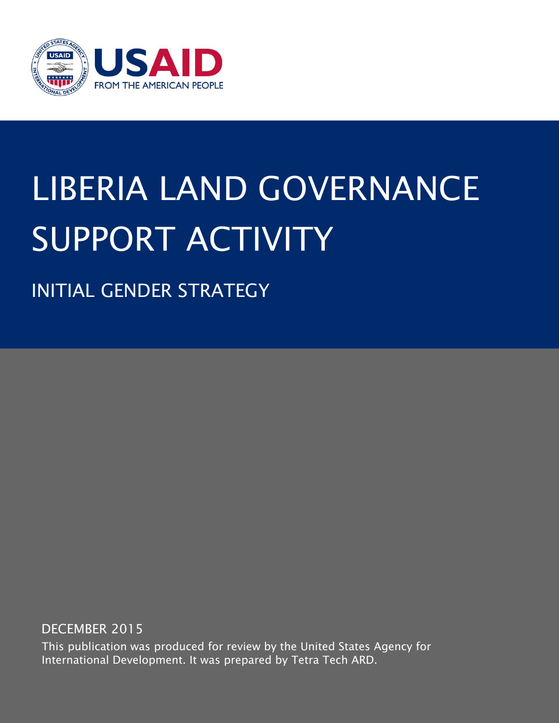

# LIBERIA LAND GOVERNANCE SUPPORT ACTIVITY

INITIAL GENDER STRATEGY

DECEMBER 2015

This publication was produced for review by the United States Agency for International Development. It was prepared by Tetra Tech ARD.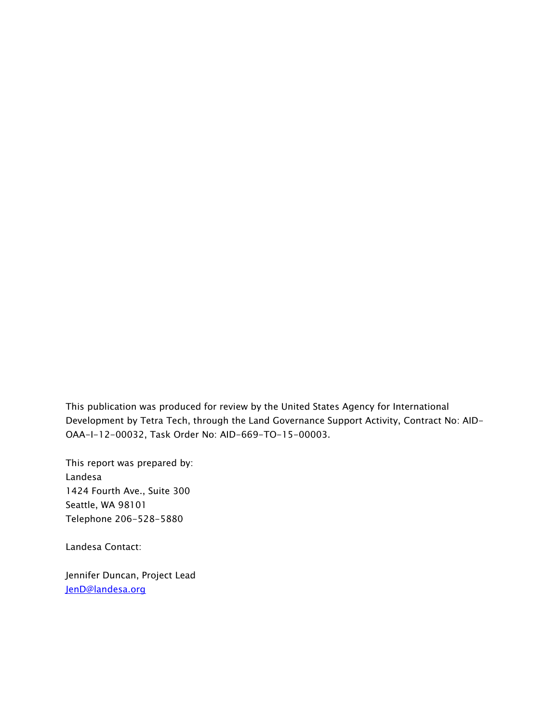This publication was produced for review by the United States Agency for International Development by Tetra Tech, through the Land Governance Support Activity, Contract No: AID-OAA-I-12-00032, Task Order No: AID-669-TO-15-00003.

This report was prepared by: Landesa 1424 Fourth Ave., Suite 300 Seattle, WA 98101 Telephone 206-528-5880

Landesa Contact:

Jennifer Duncan, Project Lead [JenD@landesa.org](mailto:JenD@landesa.org)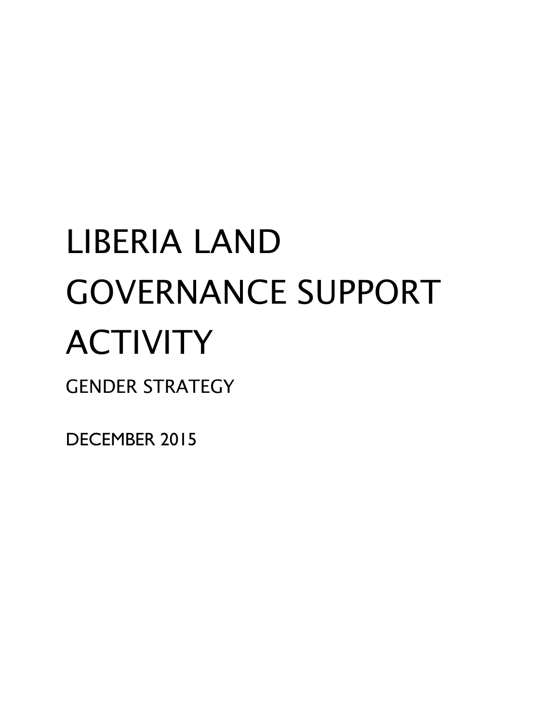# LIBERIA LAND GOVERNANCE SUPPORT ACTIVITY GENDER STRATEGY

DECEMBER 2015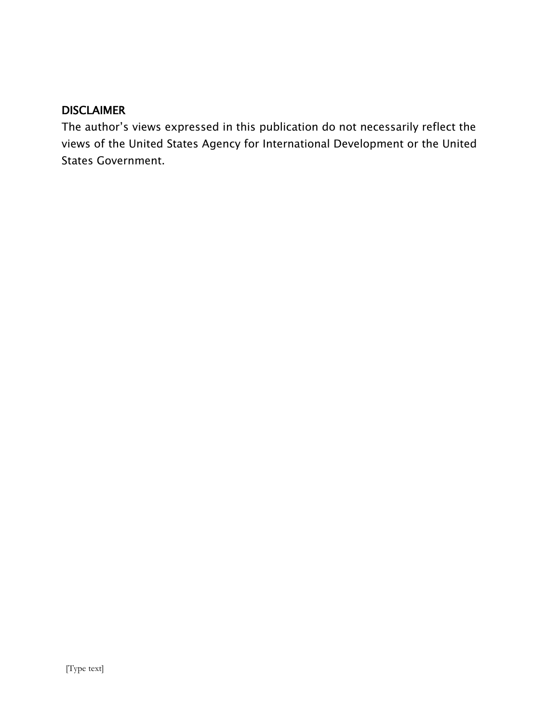#### DISCLAIMER

The author's views expressed in this publication do not necessarily reflect the views of the United States Agency for International Development or the United States Government.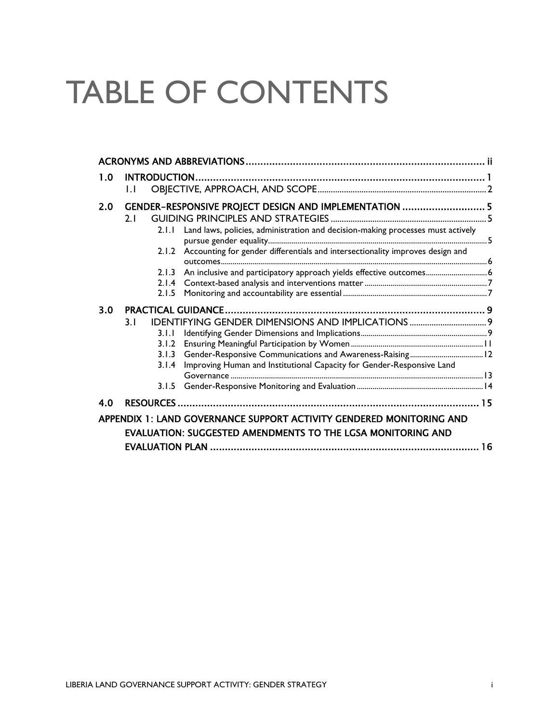## TABLE OF CONTENTS

| 1.0                                                                  |              |       |                                                                                     |  |  |  |  |
|----------------------------------------------------------------------|--------------|-------|-------------------------------------------------------------------------------------|--|--|--|--|
|                                                                      | $\mathbf{L}$ |       |                                                                                     |  |  |  |  |
| 2.0                                                                  |              |       | GENDER-RESPONSIVE PROJECT DESIGN AND IMPLEMENTATION  5                              |  |  |  |  |
|                                                                      | 2.1          |       |                                                                                     |  |  |  |  |
|                                                                      |              | 2.1.1 | Land laws, policies, administration and decision-making processes must actively     |  |  |  |  |
|                                                                      |              |       | 2.1.2 Accounting for gender differentials and intersectionality improves design and |  |  |  |  |
|                                                                      |              | 2.1.3 | An inclusive and participatory approach yields effective outcomes 6                 |  |  |  |  |
|                                                                      |              | 2.1.4 |                                                                                     |  |  |  |  |
|                                                                      |              | 2.1.5 |                                                                                     |  |  |  |  |
| 3.0                                                                  |              |       |                                                                                     |  |  |  |  |
|                                                                      | 3.1          |       | <b>IDENTIFYING GENDER DIMENSIONS AND IMPLICATIONS </b> 9                            |  |  |  |  |
|                                                                      |              | 3.1.1 |                                                                                     |  |  |  |  |
|                                                                      |              | 3.1.2 |                                                                                     |  |  |  |  |
|                                                                      |              | 3.1.3 |                                                                                     |  |  |  |  |
|                                                                      |              | 3.1.4 | Improving Human and Institutional Capacity for Gender-Responsive Land               |  |  |  |  |
|                                                                      |              |       |                                                                                     |  |  |  |  |
|                                                                      |              | 3.1.5 |                                                                                     |  |  |  |  |
| 4.0                                                                  |              |       |                                                                                     |  |  |  |  |
| APPENDIX 1: LAND GOVERNANCE SUPPORT ACTIVITY GENDERED MONITORING AND |              |       |                                                                                     |  |  |  |  |
| <b>EVALUATION: SUGGESTED AMENDMENTS TO THE LGSA MONITORING AND</b>   |              |       |                                                                                     |  |  |  |  |
|                                                                      |              |       |                                                                                     |  |  |  |  |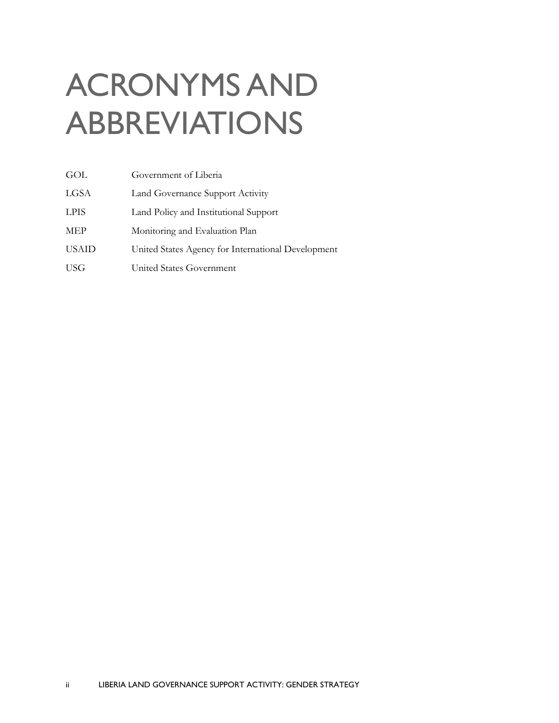## <span id="page-5-0"></span>ACRONYMS AND ABBREVIATIONS

| GOL          | Government of Liberia                              |
|--------------|----------------------------------------------------|
| LGSA         | Land Governance Support Activity                   |
| <b>LPIS</b>  | Land Policy and Institutional Support              |
| <b>MEP</b>   | Monitoring and Evaluation Plan                     |
| <b>USAID</b> | United States Agency for International Development |
| <b>USG</b>   | United States Government                           |
|              |                                                    |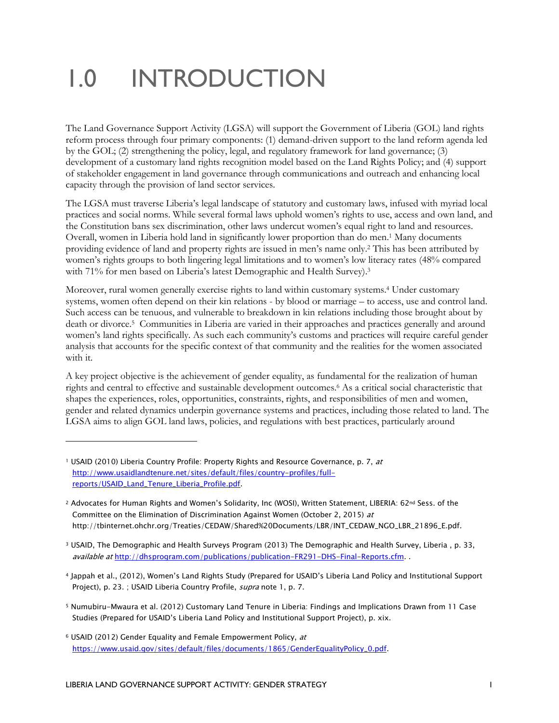### <span id="page-6-0"></span>1.0 INTRODUCTION

The Land Governance Support Activity (LGSA) will support the Government of Liberia (GOL) land rights reform process through four primary components: (1) demand-driven support to the land reform agenda led by the GOL; (2) strengthening the policy, legal, and regulatory framework for land governance; (3) development of a customary land rights recognition model based on the Land Rights Policy; and (4) support of stakeholder engagement in land governance through communications and outreach and enhancing local capacity through the provision of land sector services.

The LGSA must traverse Liberia's legal landscape of statutory and customary laws, infused with myriad local practices and social norms. While several formal laws uphold women's rights to use, access and own land, and the Constitution bans sex discrimination, other laws undercut women's equal right to land and resources. Overall, women in Liberia hold land in significantly lower proportion than do men.<sup>1</sup> Many documents providing evidence of land and property rights are issued in men's name only.<sup>2</sup> This has been attributed by women's rights groups to both lingering legal limitations and to women's low literacy rates (48% compared with 71% for men based on Liberia's latest Demographic and Health Survey).<sup>3</sup>

Moreover, rural women generally exercise rights to land within customary systems.<sup>4</sup> Under customary systems, women often depend on their kin relations - by blood or marriage – to access, use and control land. Such access can be tenuous, and vulnerable to breakdown in kin relations including those brought about by death or divorce.<sup>5</sup> Communities in Liberia are varied in their approaches and practices generally and around women's land rights specifically. As such each community's customs and practices will require careful gender analysis that accounts for the specific context of that community and the realities for the women associated with it.

A key project objective is the achievement of gender equality, as fundamental for the realization of human rights and central to effective and sustainable development outcomes.<sup>6</sup> As a critical social characteristic that shapes the experiences, roles, opportunities, constraints, rights, and responsibilities of men and women, gender and related dynamics underpin governance systems and practices, including those related to land. The LGSA aims to align GOL land laws, policies, and regulations with best practices, particularly around

- <sup>5</sup> Numubiru-Mwaura et al. (2012) Customary Land Tenure in Liberia: Findings and Implications Drawn from 11 Case Studies (Prepared for USAID's Liberia Land Policy and Institutional Support Project), p. xix.
- <sup>6</sup> USAID (2012) Gender Equality and Female Empowerment Policy, at [https://www.usaid.gov/sites/default/files/documents/1865/GenderEqualityPolicy\\_0.pdf.](https://www.usaid.gov/sites/default/files/documents/1865/GenderEqualityPolicy_0.pdf)

<sup>&</sup>lt;sup>1</sup> USAID (2010) Liberia Country Profile: Property Rights and Resource Governance, p. 7, at [http://www.usaidlandtenure.net/sites/default/files/country-profiles/full](http://www.usaidlandtenure.net/sites/default/files/country-profiles/full-reports/USAID_Land_Tenure_Liberia_Profile.pdf)[reports/USAID\\_Land\\_Tenure\\_Liberia\\_Profile.pdf.](http://www.usaidlandtenure.net/sites/default/files/country-profiles/full-reports/USAID_Land_Tenure_Liberia_Profile.pdf)

<sup>&</sup>lt;sup>2</sup> Advocates for Human Rights and Women's Solidarity, Inc (WOSI), Written Statement, LIBERIA: 62<sup>nd</sup> Sess. of the Committee on the Elimination of Discrimination Against Women (October 2, 2015) at http://tbinternet.ohchr.org/Treaties/CEDAW/Shared%20Documents/LBR/INT\_CEDAW\_NGO\_LBR\_21896\_E.pdf.

<sup>3</sup> USAID, The Demographic and Health Surveys Program (2013) The Demographic and Health Survey, Liberia , p. 33, available at [http://dhsprogram.com/publications/publication-FR291-DHS-Final-Reports.cfm.](http://dhsprogram.com/publications/publication-FR291-DHS-Final-Reports.cfm)

<sup>4</sup> Jappah et al., (2012), Women's Land Rights Study (Prepared for USAID's Liberia Land Policy and Institutional Support Project), p. 23. ; USAID Liberia Country Profile, supra note 1, p. 7.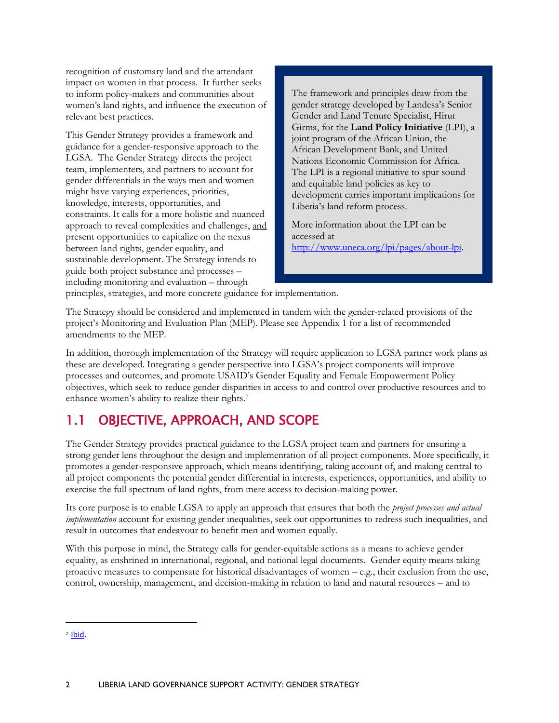recognition of customary land and the attendant impact on women in that process. It further seeks to inform policy-makers and communities about women's land rights, and influence the execution of relevant best practices.

This Gender Strategy provides a framework and guidance for a gender-responsive approach to the LGSA. The Gender Strategy directs the project team, implementers, and partners to account for gender differentials in the ways men and women might have varying experiences, priorities, knowledge, interests, opportunities, and constraints. It calls for a more holistic and nuanced approach to reveal complexities and challenges, and present opportunities to capitalize on the nexus between land rights, gender equality, and sustainable development. The Strategy intends to guide both project substance and processes – including monitoring and evaluation – through

The framework and principles draw from the gender strategy developed by Landesa's Senior Gender and Land Tenure Specialist, Hirut Girma, for the **Land Policy Initiative** (LPI), a joint program of the African Union, the African Development Bank, and United Nations Economic Commission for Africa. The LPI is a regional initiative to spur sound and equitable land policies as key to development carries important implications for Liberia's land reform process.

More information about the LPI can be accessed at [http://www.uneca.org/lpi/pages/about-lpi.](http://www.uneca.org/lpi/pages/about-lpi)

principles, strategies, and more concrete guidance for implementation.

The Strategy should be considered and implemented in tandem with the gender-related provisions of the project's Monitoring and Evaluation Plan (MEP). Please see Appendix 1 for a list of recommended amendments to the MEP.

In addition, thorough implementation of the Strategy will require application to LGSA partner work plans as these are developed. Integrating a gender perspective into LGSA's project components will improve processes and outcomes, and promote USAID's Gender Equality and Female Empowerment Policy objectives, which seek to reduce gender disparities in access to and control over productive resources and to enhance women's ability to realize their rights.<sup>7</sup>

### <span id="page-7-0"></span>1.1 OBJECTIVE, APPROACH, AND SCOPE

The Gender Strategy provides practical guidance to the LGSA project team and partners for ensuring a strong gender lens throughout the design and implementation of all project components. More specifically, it promotes a gender-responsive approach, which means identifying, taking account of, and making central to all project components the potential gender differential in interests, experiences, opportunities, and ability to exercise the full spectrum of land rights, from mere access to decision-making power.

Its core purpose is to enable LGSA to apply an approach that ensures that both the *project processes and actual implementation* account for existing gender inequalities, seek out opportunities to redress such inequalities, and result in outcomes that endeavour to benefit men and women equally.

With this purpose in mind, the Strategy calls for gender-equitable actions as a means to achieve gender equality, as enshrined in international, regional, and national legal documents. Gender equity means taking proactive measures to compensate for historical disadvantages of women – e.g., their exclusion from the use, control, ownership, management, and decision-making in relation to land and natural resources – and to

 $\ddot{\phantom{a}}$ 

<sup>7</sup> [Ibid.](file:///C:/Users/JenD/AppData/Local/Microsoft/Windows/Temporary%20Internet%20Files/Content.Outlook/8A2V70D7/Ibid)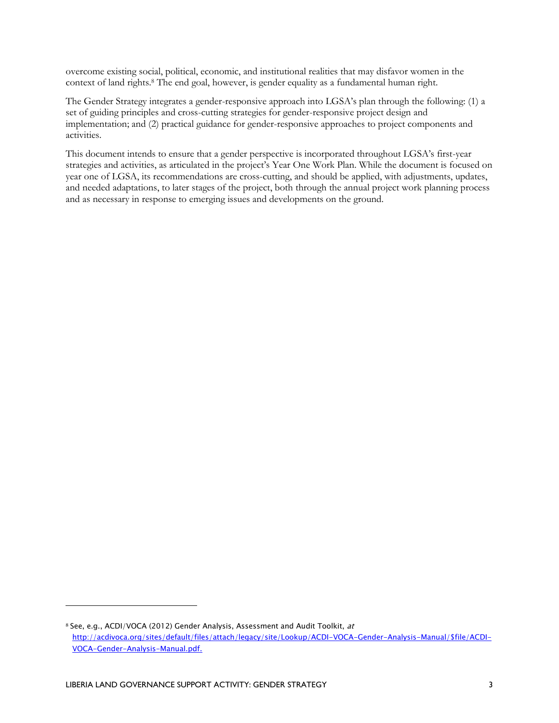overcome existing social, political, economic, and institutional realities that may disfavor women in the context of land rights.<sup>8</sup> The end goal, however, is gender equality as a fundamental human right.

The Gender Strategy integrates a gender-responsive approach into LGSA's plan through the following: (1) a set of guiding principles and cross-cutting strategies for gender-responsive project design and implementation; and (2) practical guidance for gender-responsive approaches to project components and activities.

This document intends to ensure that a gender perspective is incorporated throughout LGSA's first-year strategies and activities, as articulated in the project's Year One Work Plan. While the document is focused on year one of LGSA, its recommendations are cross-cutting, and should be applied, with adjustments, updates, and needed adaptations, to later stages of the project, both through the annual project work planning process and as necessary in response to emerging issues and developments on the ground.

<sup>8</sup> See, e.g., ACDI/VOCA (2012) Gender Analysis, Assessment and Audit Toolkit, at [http://acdivoca.org/sites/default/files/attach/legacy/site/Lookup/ACDI-VOCA-Gender-Analysis-Manual/\\$file/ACDI-](http://acdivoca.org/sites/default/files/attach/legacy/site/Lookup/ACDI-VOCA-Gender-Analysis-Manual/$file/ACDI-VOCA-Gender-Analysis-Manual.pdf)[VOCA-Gender-Analysis-Manual.pdf.](http://acdivoca.org/sites/default/files/attach/legacy/site/Lookup/ACDI-VOCA-Gender-Analysis-Manual/$file/ACDI-VOCA-Gender-Analysis-Manual.pdf)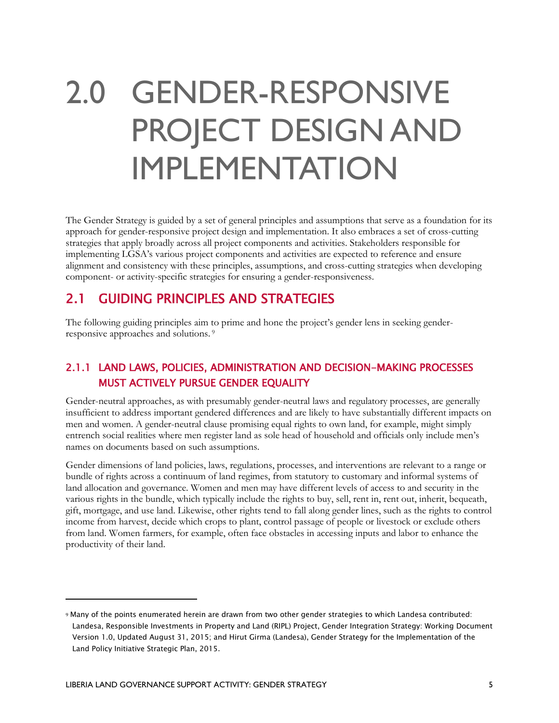### <span id="page-9-0"></span>2.0 GENDER-RESPONSIVE PROJECT DESIGN AND IMPLEMENTATION

The Gender Strategy is guided by a set of general principles and assumptions that serve as a foundation for its approach for gender-responsive project design and implementation. It also embraces a set of cross-cutting strategies that apply broadly across all project components and activities. Stakeholders responsible for implementing LGSA's various project components and activities are expected to reference and ensure alignment and consistency with these principles, assumptions, and cross-cutting strategies when developing component- or activity-specific strategies for ensuring a gender-responsiveness.

### <span id="page-9-1"></span>2.1 GUIDING PRINCIPLES AND STRATEGIES

The following guiding principles aim to prime and hone the project's gender lens in seeking genderresponsive approaches and solutions. <sup>9</sup>

#### <span id="page-9-2"></span>2.1.1 LAND LAWS, POLICIES, ADMINISTRATION AND DECISION-MAKING PROCESSES MUST ACTIVELY PURSUE GENDER EQUALITY

Gender-neutral approaches, as with presumably gender-neutral laws and regulatory processes, are generally insufficient to address important gendered differences and are likely to have substantially different impacts on men and women. A gender-neutral clause promising equal rights to own land, for example, might simply entrench social realities where men register land as sole head of household and officials only include men's names on documents based on such assumptions.

Gender dimensions of land policies, laws, regulations, processes, and interventions are relevant to a range or bundle of rights across a continuum of land regimes, from statutory to customary and informal systems of land allocation and governance. Women and men may have different levels of access to and security in the various rights in the bundle, which typically include the rights to buy, sell, rent in, rent out, inherit, bequeath, gift, mortgage, and use land. Likewise, other rights tend to fall along gender lines, such as the rights to control income from harvest, decide which crops to plant, control passage of people or livestock or exclude others from land. Women farmers, for example, often face obstacles in accessing inputs and labor to enhance the productivity of their land.

<sup>9</sup> Many of the points enumerated herein are drawn from two other gender strategies to which Landesa contributed: Landesa, Responsible Investments in Property and Land (RIPL) Project, Gender Integration Strategy: Working Document Version 1.0, Updated August 31, 2015; and Hirut Girma (Landesa), Gender Strategy for the Implementation of the Land Policy Initiative Strategic Plan, 2015.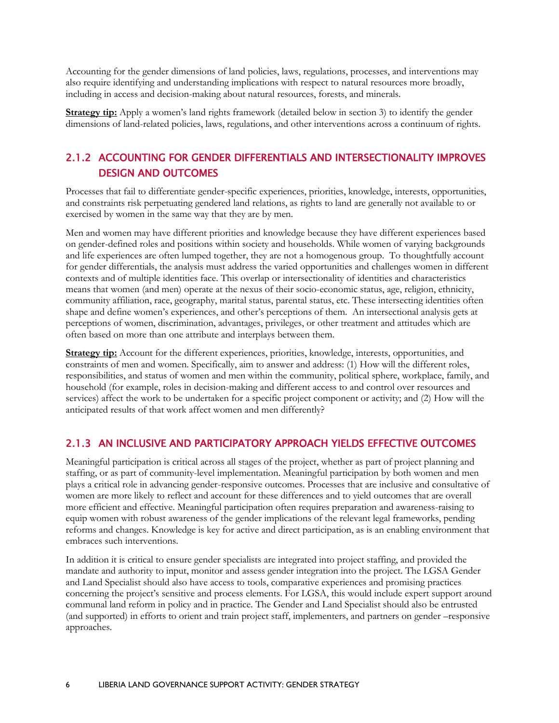Accounting for the gender dimensions of land policies, laws, regulations, processes, and interventions may also require identifying and understanding implications with respect to natural resources more broadly, including in access and decision-making about natural resources, forests, and minerals.

<span id="page-10-0"></span>**Strategy tip:** Apply a women's land rights framework (detailed below in section 3) to identify the gender dimensions of land-related policies, laws, regulations, and other interventions across a continuum of rights.

#### 2.1.2 ACCOUNTING FOR GENDER DIFFERENTIALS AND INTERSECTIONALITY IMPROVES DESIGN AND OUTCOMES

Processes that fail to differentiate gender-specific experiences, priorities, knowledge, interests, opportunities, and constraints risk perpetuating gendered land relations, as rights to land are generally not available to or exercised by women in the same way that they are by men.

Men and women may have different priorities and knowledge because they have different experiences based on gender-defined roles and positions within society and households. While women of varying backgrounds and life experiences are often lumped together, they are not a homogenous group. To thoughtfully account for gender differentials, the analysis must address the varied opportunities and challenges women in different contexts and of multiple identities face. This overlap or intersectionality of identities and characteristics means that women (and men) operate at the nexus of their socio-economic status, age, religion, ethnicity, community affiliation, race, geography, marital status, parental status, etc. These intersecting identities often shape and define women's experiences, and other's perceptions of them. An intersectional analysis gets at perceptions of women, discrimination, advantages, privileges, or other treatment and attitudes which are often based on more than one attribute and interplays between them.

**Strategy tip:** Account for the different experiences, priorities, knowledge, interests, opportunities, and constraints of men and women. Specifically, aim to answer and address: (1) How will the different roles, responsibilities, and status of women and men within the community, political sphere, workplace, family, and household (for example, roles in decision-making and different access to and control over resources and services) affect the work to be undertaken for a specific project component or activity; and (2) How will the anticipated results of that work affect women and men differently?

#### <span id="page-10-1"></span>2.1.3 AN INCLUSIVE AND PARTICIPATORY APPROACH YIELDS EFFECTIVE OUTCOMES

Meaningful participation is critical across all stages of the project, whether as part of project planning and staffing, or as part of community-level implementation. Meaningful participation by both women and men plays a critical role in advancing gender-responsive outcomes. Processes that are inclusive and consultative of women are more likely to reflect and account for these differences and to yield outcomes that are overall more efficient and effective. Meaningful participation often requires preparation and awareness-raising to equip women with robust awareness of the gender implications of the relevant legal frameworks, pending reforms and changes. Knowledge is key for active and direct participation, as is an enabling environment that embraces such interventions.

In addition it is critical to ensure gender specialists are integrated into project staffing, and provided the mandate and authority to input, monitor and assess gender integration into the project. The LGSA Gender and Land Specialist should also have access to tools, comparative experiences and promising practices concerning the project's sensitive and process elements. For LGSA, this would include expert support around communal land reform in policy and in practice. The Gender and Land Specialist should also be entrusted (and supported) in efforts to orient and train project staff, implementers, and partners on gender –responsive approaches.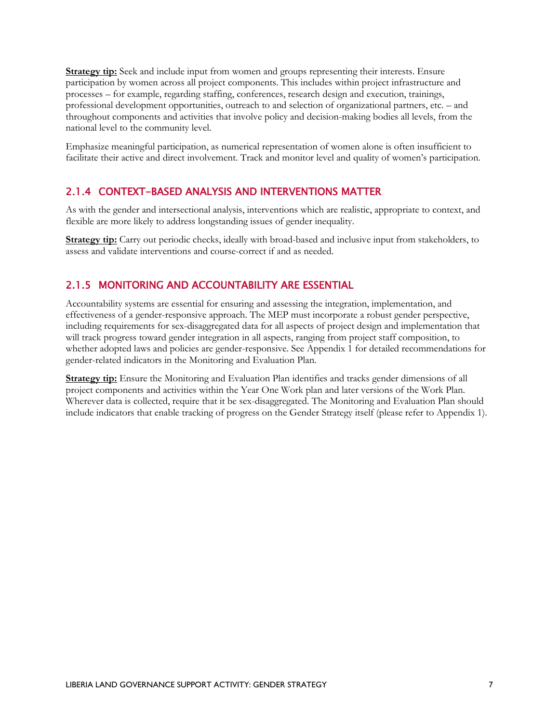**Strategy tip:** Seek and include input from women and groups representing their interests. Ensure participation by women across all project components. This includes within project infrastructure and processes – for example, regarding staffing, conferences, research design and execution, trainings, professional development opportunities, outreach to and selection of organizational partners, etc. – and throughout components and activities that involve policy and decision-making bodies all levels, from the national level to the community level.

<span id="page-11-0"></span>Emphasize meaningful participation, as numerical representation of women alone is often insufficient to facilitate their active and direct involvement. Track and monitor level and quality of women's participation.

#### 2.1.4 CONTEXT-BASED ANALYSIS AND INTERVENTIONS MATTER

As with the gender and intersectional analysis, interventions which are realistic, appropriate to context, and flexible are more likely to address longstanding issues of gender inequality.

**Strategy tip:** Carry out periodic checks, ideally with broad-based and inclusive input from stakeholders, to assess and validate interventions and course-correct if and as needed.

#### <span id="page-11-1"></span>2.1.5 MONITORING AND ACCOUNTABILITY ARE ESSENTIAL

Accountability systems are essential for ensuring and assessing the integration, implementation, and effectiveness of a gender-responsive approach. The MEP must incorporate a robust gender perspective, including requirements for sex-disaggregated data for all aspects of project design and implementation that will track progress toward gender integration in all aspects, ranging from project staff composition, to whether adopted laws and policies are gender-responsive. See Appendix 1 for detailed recommendations for gender-related indicators in the Monitoring and Evaluation Plan.

**Strategy tip:** Ensure the Monitoring and Evaluation Plan identifies and tracks gender dimensions of all project components and activities within the Year One Work plan and later versions of the Work Plan. Wherever data is collected, require that it be sex-disaggregated. The Monitoring and Evaluation Plan should include indicators that enable tracking of progress on the Gender Strategy itself (please refer to Appendix 1).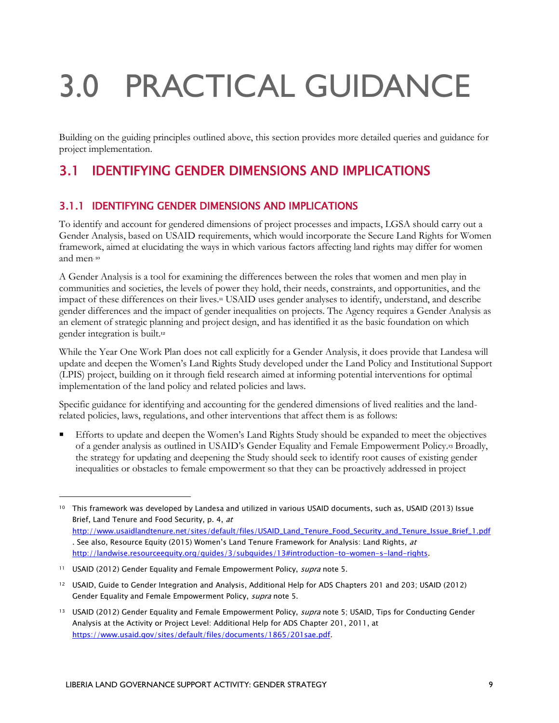# <span id="page-12-0"></span>3.0 PRACTICAL GUIDANCE

Building on the guiding principles outlined above, this section provides more detailed queries and guidance for project implementation.

### <span id="page-12-1"></span>3.1 IDENTIFYING GENDER DIMENSIONS AND IMPLICATIONS

#### <span id="page-12-2"></span>3.1.1 IDENTIFYING GENDER DIMENSIONS AND IMPLICATIONS

To identify and account for gendered dimensions of project processes and impacts, LGSA should carry out a Gender Analysis, based on USAID requirements, which would incorporate the Secure Land Rights for Women framework, aimed at elucidating the ways in which various factors affecting land rights may differ for women and men. 10

A Gender Analysis is a tool for examining the differences between the roles that women and men play in communities and societies, the levels of power they hold, their needs, constraints, and opportunities, and the impact of these differences on their lives.<sup>11</sup> USAID uses gender analyses to identify, understand, and describe gender differences and the impact of gender inequalities on projects. The Agency requires a Gender Analysis as an element of strategic planning and project design, and has identified it as the basic foundation on which gender integration is built.<sup>12</sup>

While the Year One Work Plan does not call explicitly for a Gender Analysis, it does provide that Landesa will update and deepen the Women's Land Rights Study developed under the Land Policy and Institutional Support (LPIS) project, building on it through field research aimed at informing potential interventions for optimal implementation of the land policy and related policies and laws.

Specific guidance for identifying and accounting for the gendered dimensions of lived realities and the landrelated policies, laws, regulations, and other interventions that affect them is as follows:

 Efforts to update and deepen the Women's Land Rights Study should be expanded to meet the objectives of a gender analysis as outlined in USAID's Gender Equality and Female Empowerment Policy.<sup>13</sup> Broadly, the strategy for updating and deepening the Study should seek to identify root causes of existing gender inequalities or obstacles to female empowerment so that they can be proactively addressed in project

<sup>10</sup> This framework was developed by Landesa and utilized in various USAID documents, such as, USAID (2013) Issue Brief, Land Tenure and Food Security, p. 4, at [http://www.usaidlandtenure.net/sites/default/files/USAID\\_Land\\_Tenure\\_Food\\_Security\\_and\\_Tenure\\_Issue\\_Brief\\_1.pdf](http://www.usaidlandtenure.net/sites/default/files/USAID_Land_Tenure_Food_Security_and_Tenure_Issue_Brief_1.pdf) . See also, Resource Equity (2015) Women's Land Tenure Framework for Analysis: Land Rights, at [http://landwise.resourceequity.org/guides/3/subguides/13#introduction-to-women-s-land-rights.](http://landwise.resourceequity.org/guides/3/subguides/13#introduction-to-women-s-land-rights)

<sup>11</sup> USAID (2012) Gender Equality and Female Empowerment Policy, *supra* note 5.

<sup>12</sup> USAID, Guide to Gender Integration and Analysis, Additional Help for ADS Chapters 201 and 203; USAID (2012) Gender Equality and Female Empowerment Policy, supra note 5.

<sup>&</sup>lt;sup>13</sup> USAID (2012) Gender Equality and Female Empowerment Policy, *supra* note 5; USAID, Tips for Conducting Gender Analysis at the Activity or Project Level: Additional Help for ADS Chapter 201, 2011, at [https://www.usaid.gov/sites/default/files/documents/1865/201sae.pdf.](https://www.usaid.gov/sites/default/files/documents/1865/201sae.pdf)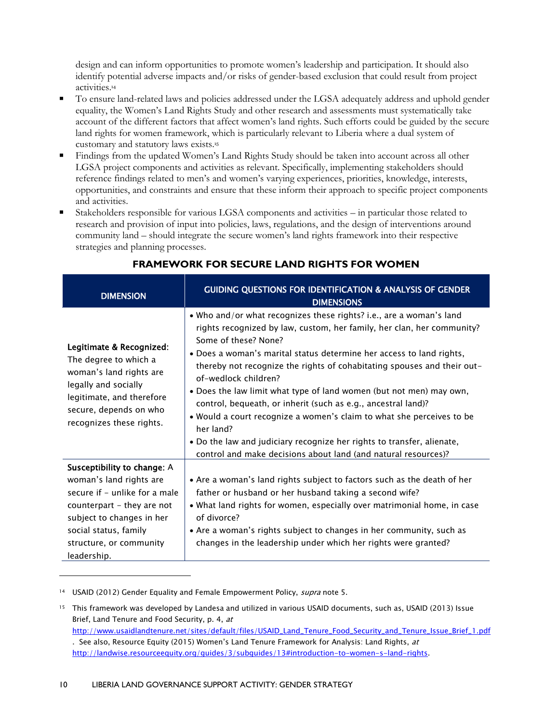design and can inform opportunities to promote women's leadership and participation. It should also identify potential adverse impacts and/or risks of gender-based exclusion that could result from project activities.<sup>14</sup>

- To ensure land-related laws and policies addressed under the LGSA adequately address and uphold gender equality, the Women's Land Rights Study and other research and assessments must systematically take account of the different factors that affect women's land rights. Such efforts could be guided by the secure land rights for women framework, which is particularly relevant to Liberia where a dual system of customary and statutory laws exists.<sup>15</sup>
- Findings from the updated Women's Land Rights Study should be taken into account across all other LGSA project components and activities as relevant. Specifically, implementing stakeholders should reference findings related to men's and women's varying experiences, priorities, knowledge, interests, opportunities, and constraints and ensure that these inform their approach to specific project components and activities.
- Stakeholders responsible for various LGSA components and activities in particular those related to research and provision of input into policies, laws, regulations, and the design of interventions around community land – should integrate the secure women's land rights framework into their respective strategies and planning processes.

| <b>DIMENSION</b>                                                                                                                                                                                                      | <b>GUIDING QUESTIONS FOR IDENTIFICATION &amp; ANALYSIS OF GENDER</b><br><b>DIMENSIONS</b>                                                                                                                                                                                                                                                                                                                                                                                                                                                                                                                                                                                                                                  |
|-----------------------------------------------------------------------------------------------------------------------------------------------------------------------------------------------------------------------|----------------------------------------------------------------------------------------------------------------------------------------------------------------------------------------------------------------------------------------------------------------------------------------------------------------------------------------------------------------------------------------------------------------------------------------------------------------------------------------------------------------------------------------------------------------------------------------------------------------------------------------------------------------------------------------------------------------------------|
| Legitimate & Recognized:<br>The degree to which a<br>woman's land rights are<br>legally and socially<br>legitimate, and therefore<br>secure, depends on who<br>recognizes these rights.                               | . Who and/or what recognizes these rights? i.e., are a woman's land<br>rights recognized by law, custom, her family, her clan, her community?<br>Some of these? None?<br>. Does a woman's marital status determine her access to land rights,<br>thereby not recognize the rights of cohabitating spouses and their out-<br>of-wedlock children?<br>• Does the law limit what type of land women (but not men) may own,<br>control, bequeath, or inherit (such as e.g., ancestral land)?<br>. Would a court recognize a women's claim to what she perceives to be<br>her land?<br>. Do the law and judiciary recognize her rights to transfer, alienate,<br>control and make decisions about land (and natural resources)? |
| Susceptibility to change: A<br>woman's land rights are<br>secure if - unlike for a male<br>counterpart - they are not<br>subject to changes in her<br>social status, family<br>structure, or community<br>leadership. | • Are a woman's land rights subject to factors such as the death of her<br>father or husband or her husband taking a second wife?<br>• What land rights for women, especially over matrimonial home, in case<br>of divorce?<br>• Are a woman's rights subject to changes in her community, such as<br>changes in the leadership under which her rights were granted?                                                                                                                                                                                                                                                                                                                                                       |

#### **FRAMEWORK FOR SECURE LAND RIGHTS FOR WOMEN**

<sup>14</sup> USAID (2012) Gender Equality and Female Empowerment Policy, *supra* note 5.

<sup>&</sup>lt;sup>15</sup> This framework was developed by Landesa and utilized in various USAID documents, such as, USAID (2013) Issue Brief, Land Tenure and Food Security, p. 4, at

[http://www.usaidlandtenure.net/sites/default/files/USAID\\_Land\\_Tenure\\_Food\\_Security\\_and\\_Tenure\\_Issue\\_Brief\\_1.pdf](http://www.usaidlandtenure.net/sites/default/files/USAID_Land_Tenure_Food_Security_and_Tenure_Issue_Brief_1.pdf) . See also, Resource Equity (2015) Women's Land Tenure Framework for Analysis: Land Rights, at [http://landwise.resourceequity.org/guides/3/subguides/13#introduction-to-women-s-land-rights.](http://landwise.resourceequity.org/guides/3/subguides/13#introduction-to-women-s-land-rights)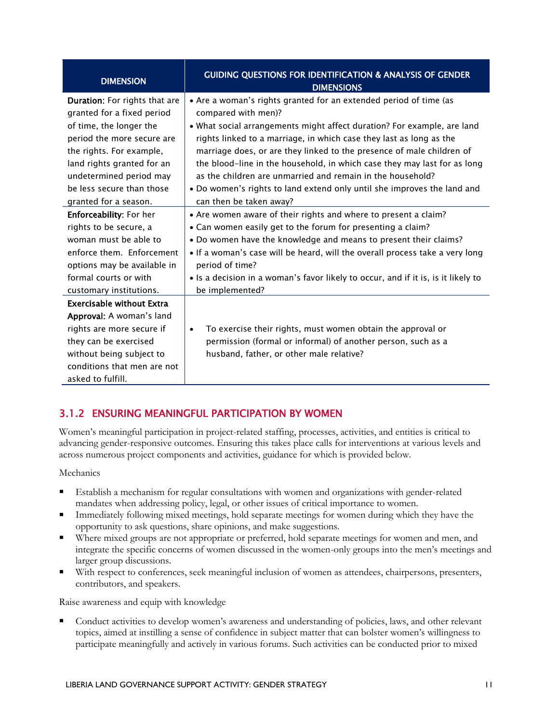| <b>DIMENSION</b>                 | <b>GUIDING QUESTIONS FOR IDENTIFICATION &amp; ANALYSIS OF GENDER</b><br><b>DIMENSIONS</b> |
|----------------------------------|-------------------------------------------------------------------------------------------|
| Duration: For rights that are    | • Are a woman's rights granted for an extended period of time (as                         |
| granted for a fixed period       | compared with men)?                                                                       |
| of time, the longer the          | • What social arrangements might affect duration? For example, are land                   |
| period the more secure are       | rights linked to a marriage, in which case they last as long as the                       |
| the rights. For example,         | marriage does, or are they linked to the presence of male children of                     |
| land rights granted for an       | the blood-line in the household, in which case they may last for as long                  |
| undetermined period may          | as the children are unmarried and remain in the household?                                |
| be less secure than those        | . Do women's rights to land extend only until she improves the land and                   |
| granted for a season.            | can then be taken away?                                                                   |
| <b>Enforceability: For her</b>   | • Are women aware of their rights and where to present a claim?                           |
| rights to be secure, a           | • Can women easily get to the forum for presenting a claim?                               |
| woman must be able to            | • Do women have the knowledge and means to present their claims?                          |
| enforce them. Enforcement        | • If a woman's case will be heard, will the overall process take a very long              |
| options may be available in      | period of time?                                                                           |
| formal courts or with            | • Is a decision in a woman's favor likely to occur, and if it is, is it likely to         |
| customary institutions.          | be implemented?                                                                           |
| <b>Exercisable without Extra</b> |                                                                                           |
| <b>Approval:</b> A woman's land  |                                                                                           |
| rights are more secure if        | To exercise their rights, must women obtain the approval or<br>$\bullet$                  |
| they can be exercised            | permission (formal or informal) of another person, such as a                              |
| without being subject to         | husband, father, or other male relative?                                                  |
| conditions that men are not      |                                                                                           |
| asked to fulfill.                |                                                                                           |

#### <span id="page-14-0"></span>3.1.2 ENSURING MEANINGFUL PARTICIPATION BY WOMEN

Women's meaningful participation in project-related staffing, processes, activities, and entities is critical to advancing gender-responsive outcomes. Ensuring this takes place calls for interventions at various levels and across numerous project components and activities, guidance for which is provided below.

Mechanics

- Establish a mechanism for regular consultations with women and organizations with gender-related mandates when addressing policy, legal, or other issues of critical importance to women.
- Immediately following mixed meetings, hold separate meetings for women during which they have the opportunity to ask questions, share opinions, and make suggestions.
- Where mixed groups are not appropriate or preferred, hold separate meetings for women and men, and integrate the specific concerns of women discussed in the women-only groups into the men's meetings and larger group discussions.
- With respect to conferences, seek meaningful inclusion of women as attendees, chairpersons, presenters, contributors, and speakers.

Raise awareness and equip with knowledge

 Conduct activities to develop women's awareness and understanding of policies, laws, and other relevant topics, aimed at instilling a sense of confidence in subject matter that can bolster women's willingness to participate meaningfully and actively in various forums. Such activities can be conducted prior to mixed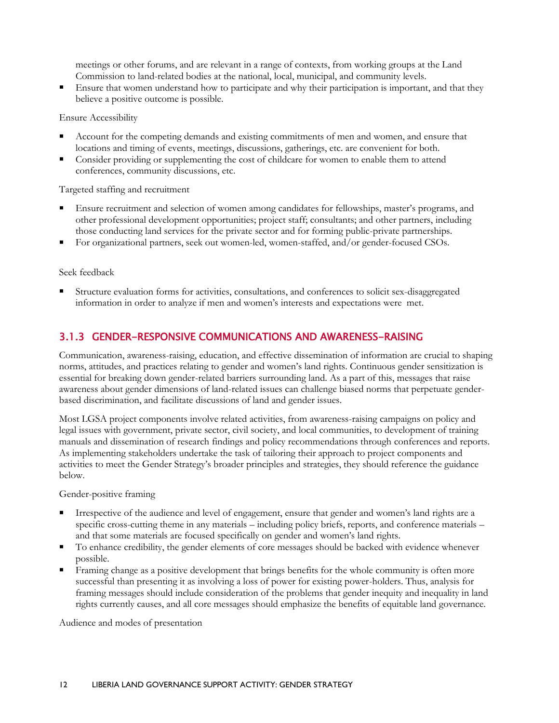meetings or other forums, and are relevant in a range of contexts, from working groups at the Land Commission to land-related bodies at the national, local, municipal, and community levels.

 Ensure that women understand how to participate and why their participation is important, and that they believe a positive outcome is possible.

Ensure Accessibility

- Account for the competing demands and existing commitments of men and women, and ensure that locations and timing of events, meetings, discussions, gatherings, etc. are convenient for both.
- Consider providing or supplementing the cost of childcare for women to enable them to attend conferences, community discussions, etc.

Targeted staffing and recruitment

- Ensure recruitment and selection of women among candidates for fellowships, master's programs, and other professional development opportunities; project staff; consultants; and other partners, including those conducting land services for the private sector and for forming public-private partnerships.
- For organizational partners, seek out women-led, women-staffed, and/or gender-focused CSOs.

Seek feedback

<span id="page-15-0"></span> Structure evaluation forms for activities, consultations, and conferences to solicit sex-disaggregated information in order to analyze if men and women's interests and expectations were met.

#### 3.1.3 GENDER-RESPONSIVE COMMUNICATIONS AND AWARENESS-RAISING

Communication, awareness-raising, education, and effective dissemination of information are crucial to shaping norms, attitudes, and practices relating to gender and women's land rights. Continuous gender sensitization is essential for breaking down gender-related barriers surrounding land. As a part of this, messages that raise awareness about gender dimensions of land-related issues can challenge biased norms that perpetuate genderbased discrimination, and facilitate discussions of land and gender issues.

Most LGSA project components involve related activities, from awareness-raising campaigns on policy and legal issues with government, private sector, civil society, and local communities, to development of training manuals and dissemination of research findings and policy recommendations through conferences and reports. As implementing stakeholders undertake the task of tailoring their approach to project components and activities to meet the Gender Strategy's broader principles and strategies, they should reference the guidance below.

Gender-positive framing

- Irrespective of the audience and level of engagement, ensure that gender and women's land rights are a specific cross-cutting theme in any materials – including policy briefs, reports, and conference materials – and that some materials are focused specifically on gender and women's land rights.
- To enhance credibility, the gender elements of core messages should be backed with evidence whenever possible.
- Framing change as a positive development that brings benefits for the whole community is often more successful than presenting it as involving a loss of power for existing power-holders. Thus, analysis for framing messages should include consideration of the problems that gender inequity and inequality in land rights currently causes, and all core messages should emphasize the benefits of equitable land governance.

Audience and modes of presentation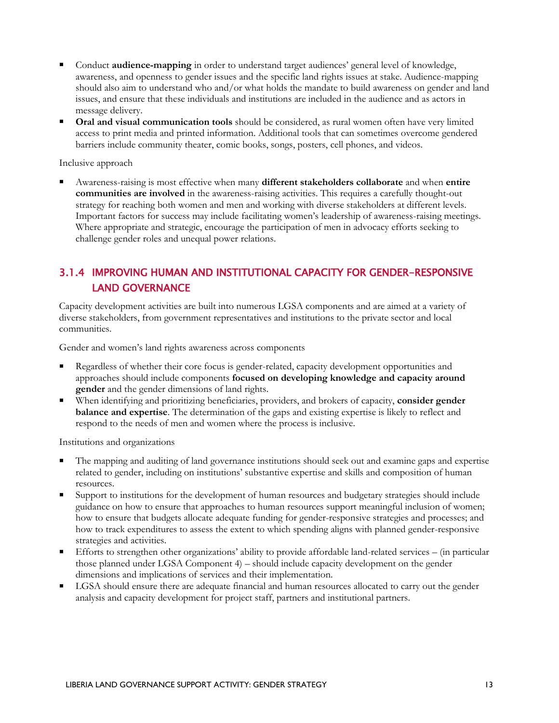- Conduct **audience-mapping** in order to understand target audiences' general level of knowledge, awareness, and openness to gender issues and the specific land rights issues at stake. Audience-mapping should also aim to understand who and/or what holds the mandate to build awareness on gender and land issues, and ensure that these individuals and institutions are included in the audience and as actors in message delivery.
- **Oral and visual communication tools** should be considered, as rural women often have very limited access to print media and printed information. Additional tools that can sometimes overcome gendered barriers include community theater, comic books, songs, posters, cell phones, and videos.

Inclusive approach

 Awareness-raising is most effective when many **different stakeholders collaborate** and when **entire communities are involved** in the awareness-raising activities. This requires a carefully thought-out strategy for reaching both women and men and working with diverse stakeholders at different levels. Important factors for success may include facilitating women's leadership of awareness-raising meetings. Where appropriate and strategic, encourage the participation of men in advocacy efforts seeking to challenge gender roles and unequal power relations.

#### <span id="page-16-0"></span>3.1.4 IMPROVING HUMAN AND INSTITUTIONAL CAPACITY FOR GENDER-RESPONSIVE LAND GOVERNANCE

Capacity development activities are built into numerous LGSA components and are aimed at a variety of diverse stakeholders, from government representatives and institutions to the private sector and local communities.

Gender and women's land rights awareness across components

- Regardless of whether their core focus is gender-related, capacity development opportunities and approaches should include components **focused on developing knowledge and capacity around gender** and the gender dimensions of land rights.
- When identifying and prioritizing beneficiaries, providers, and brokers of capacity, **consider gender balance and expertise**. The determination of the gaps and existing expertise is likely to reflect and respond to the needs of men and women where the process is inclusive.

Institutions and organizations

- The mapping and auditing of land governance institutions should seek out and examine gaps and expertise related to gender, including on institutions' substantive expertise and skills and composition of human resources.
- Support to institutions for the development of human resources and budgetary strategies should include guidance on how to ensure that approaches to human resources support meaningful inclusion of women; how to ensure that budgets allocate adequate funding for gender-responsive strategies and processes; and how to track expenditures to assess the extent to which spending aligns with planned gender-responsive strategies and activities.
- Efforts to strengthen other organizations' ability to provide affordable land-related services (in particular those planned under LGSA Component 4) – should include capacity development on the gender dimensions and implications of services and their implementation.
- LGSA should ensure there are adequate financial and human resources allocated to carry out the gender analysis and capacity development for project staff, partners and institutional partners.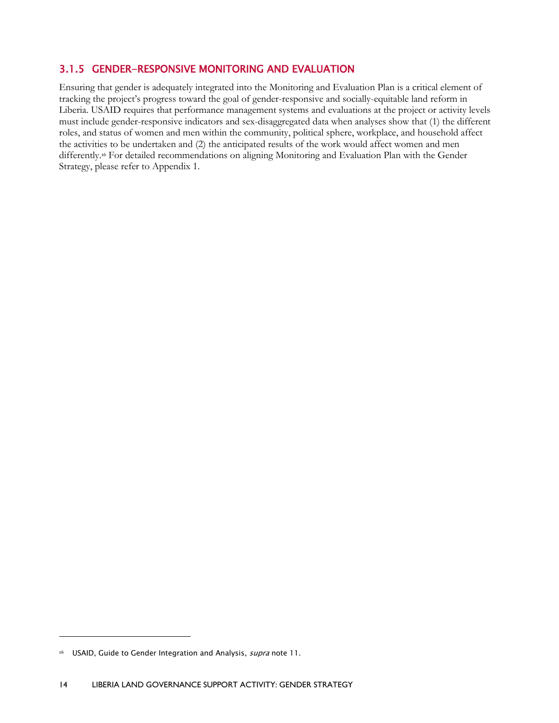#### <span id="page-17-0"></span>3.1.5 GENDER-RESPONSIVE MONITORING AND EVALUATION

Ensuring that gender is adequately integrated into the Monitoring and Evaluation Plan is a critical element of tracking the project's progress toward the goal of gender-responsive and socially-equitable land reform in Liberia. USAID requires that performance management systems and evaluations at the project or activity levels must include gender-responsive indicators and sex-disaggregated data when analyses show that (1) the different roles, and status of women and men within the community, political sphere, workplace, and household affect the activities to be undertaken and (2) the anticipated results of the work would affect women and men differently.<sup>16</sup> For detailed recommendations on aligning Monitoring and Evaluation Plan with the Gender Strategy, please refer to Appendix 1.

 $\ddot{\phantom{a}}$ 

<sup>&</sup>lt;sup>16</sup> USAID, Guide to Gender Integration and Analysis, *supra* note 11.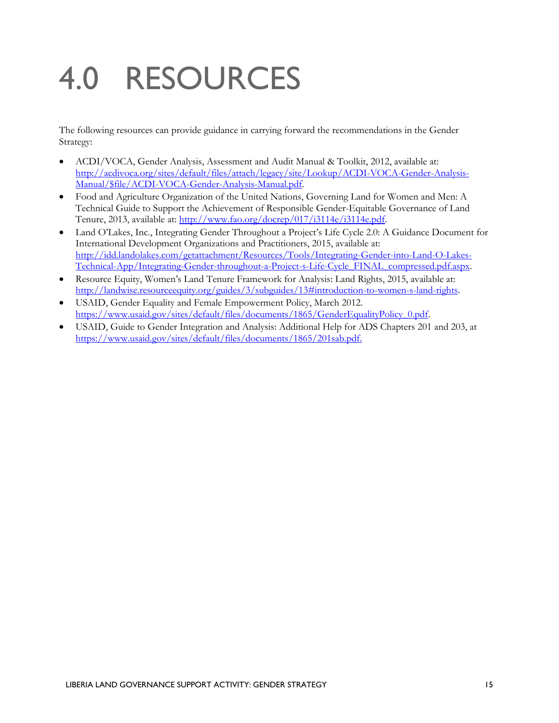# <span id="page-18-0"></span>4.0 RESOURCES

The following resources can provide guidance in carrying forward the recommendations in the Gender Strategy:

- ACDI/VOCA, Gender Analysis, Assessment and Audit Manual & Toolkit, 2012, available at: [http://acdivoca.org/sites/default/files/attach/legacy/site/Lookup/ACDI-VOCA-Gender-Analysis-](http://acdivoca.org/sites/default/files/attach/legacy/site/Lookup/ACDI-VOCA-Gender-Analysis-Manual/$file/ACDI-VOCA-Gender-Analysis-Manual.pdf)[Manual/\\$file/ACDI-VOCA-Gender-Analysis-Manual.pdf.](http://acdivoca.org/sites/default/files/attach/legacy/site/Lookup/ACDI-VOCA-Gender-Analysis-Manual/$file/ACDI-VOCA-Gender-Analysis-Manual.pdf)
- Food and Agriculture Organization of the United Nations, Governing Land for Women and Men: A Technical Guide to Support the Achievement of Responsible Gender-Equitable Governance of Land Tenure, 2013, available at: [http://www.fao.org/docrep/017/i3114e/i3114e.pdf.](http://www.fao.org/docrep/017/i3114e/i3114e.pdf)
- Land O'Lakes, Inc., Integrating Gender Throughout a Project's Life Cycle 2.0: A Guidance Document for International Development Organizations and Practitioners, 2015, available at: [http://idd.landolakes.com/getattachment/Resources/Tools/Integrating-Gender-into-Land-O-Lakes-](http://idd.landolakes.com/getattachment/Resources/Tools/Integrating-Gender-into-Land-O-Lakes-Technical-App/Integrating-Gender-throughout-a-Project-s-Life-Cycle_FINAL_compressed.pdf.aspx)[Technical-App/Integrating-Gender-throughout-a-Project-s-Life-Cycle\\_FINAL\\_compressed.pdf.aspx.](http://idd.landolakes.com/getattachment/Resources/Tools/Integrating-Gender-into-Land-O-Lakes-Technical-App/Integrating-Gender-throughout-a-Project-s-Life-Cycle_FINAL_compressed.pdf.aspx)
- Resource Equity, Women's Land Tenure Framework for Analysis: Land Rights, 2015, available at: [http://landwise.resourceequity.org/guides/3/subguides/13#introduction-to-women-s-land-rights.](http://landwise.resourceequity.org/guides/3/subguides/13#introduction-to-women-s-land-rights)
- USAID, Gender Equality and Female Empowerment Policy, March 2012. [https://www.usaid.gov/sites/default/files/documents/1865/GenderEqualityPolicy\\_0.pdf.](https://www.usaid.gov/sites/default/files/documents/1865/GenderEqualityPolicy_0.pdf)
- USAID, Guide to Gender Integration and Analysis: Additional Help for ADS Chapters 201 and 203, at [https://www.usaid.gov/sites/default/files/documents/1865/201sab.pdf.](https://www.usaid.gov/sites/default/files/documents/1865/201sab.pdf)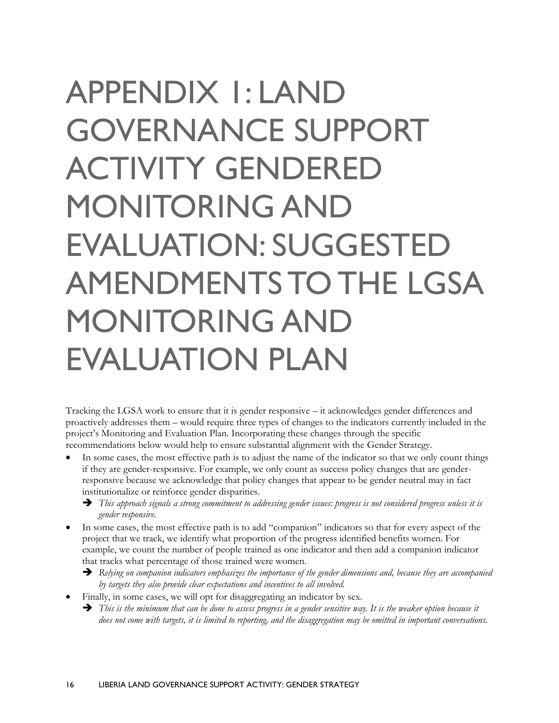# <span id="page-19-0"></span>APPENDIX 1: LAND GOVERNANCE SUPPORT ACTIVITY GENDERED MONITORING AND EVALUATION: SUGGESTED AMENDMENTS TO THE LGSA MONITORING AND EVALUATION PLAN

Tracking the LGSA work to ensure that it is gender responsive – it acknowledges gender differences and proactively addresses them – would require three types of changes to the indicators currently included in the project's Monitoring and Evaluation Plan. Incorporating these changes through the specific recommendations below would help to ensure substantial alignment with the Gender Strategy.

- In some cases, the most effective path is to adjust the name of the indicator so that we only count things if they are gender-responsive. For example, we only count as success policy changes that are genderresponsive because we acknowledge that policy changes that appear to be gender neutral may in fact institutionalize or reinforce gender disparities.
	- *This approach signals a strong commitment to addressing gender issues: progress is not considered progress unless it is gender responsive.*
- In some cases, the most effective path is to add "companion" indicators so that for every aspect of the project that we track, we identify what proportion of the progress identified benefits women. For example, we count the number of people trained as one indicator and then add a companion indicator that tracks what percentage of those trained were women.
	- *Relying on companion indicators emphasizes the importance of the gender dimensions and, because they are accompanied by targets they also provide clear expectations and incentives to all involved.*
- Finally, in some cases, we will opt for disaggregating an indicator by sex.
	- *This is the minimum that can be done to assess progress in a gender sensitive way. It is the weaker option because it does not come with targets, it is limited to reporting, and the disaggregation may be omitted in important conversations.*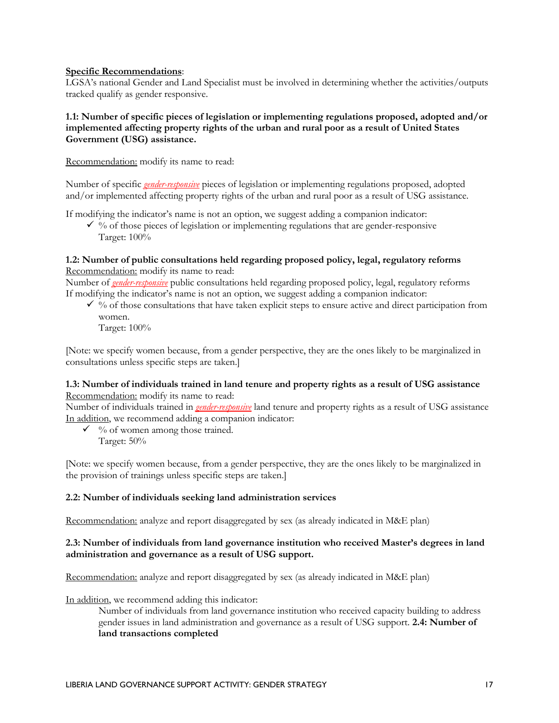#### **Specific Recommendations**:

LGSA's national Gender and Land Specialist must be involved in determining whether the activities/outputs tracked qualify as gender responsive.

#### **1.1: Number of specific pieces of legislation or implementing regulations proposed, adopted and/or implemented affecting property rights of the urban and rural poor as a result of United States Government (USG) assistance.**

Recommendation: modify its name to read:

Number of specific *gender-responsive* pieces of legislation or implementing regulations proposed, adopted and/or implemented affecting property rights of the urban and rural poor as a result of USG assistance.

If modifying the indicator's name is not an option, we suggest adding a companion indicator:

 $\checkmark$  % of those pieces of legislation or implementing regulations that are gender-responsive Target: 100%

#### **1.2: Number of public consultations held regarding proposed policy, legal, regulatory reforms** Recommendation: modify its name to read:

Number of *gender-responsive* public consultations held regarding proposed policy, legal, regulatory reforms If modifying the indicator's name is not an option, we suggest adding a companion indicator:

 $\checkmark$  % of those consultations that have taken explicit steps to ensure active and direct participation from women.

Target: 100%

[Note: we specify women because, from a gender perspective, they are the ones likely to be marginalized in consultations unless specific steps are taken.]

#### **1.3: Number of individuals trained in land tenure and property rights as a result of USG assistance** Recommendation: modify its name to read:

Number of individuals trained in *gender-responsive* land tenure and property rights as a result of USG assistance In addition, we recommend adding a companion indicator:

 $\checkmark$  % of women among those trained. Target: 50%

[Note: we specify women because, from a gender perspective, they are the ones likely to be marginalized in the provision of trainings unless specific steps are taken.]

#### **2.2: Number of individuals seeking land administration services**

Recommendation: analyze and report disaggregated by sex (as already indicated in M&E plan)

#### **2.3: Number of individuals from land governance institution who received Master's degrees in land administration and governance as a result of USG support.**

Recommendation: analyze and report disaggregated by sex (as already indicated in M&E plan)

In addition, we recommend adding this indicator:

Number of individuals from land governance institution who received capacity building to address gender issues in land administration and governance as a result of USG support. **2.4: Number of land transactions completed**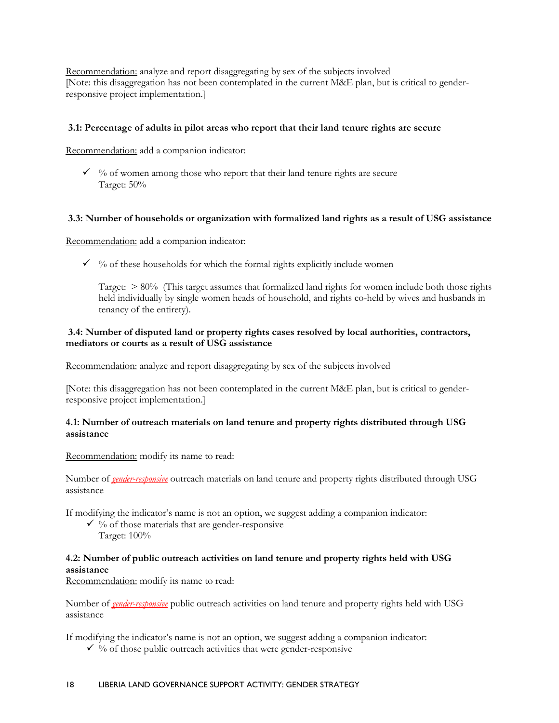Recommendation: analyze and report disaggregating by sex of the subjects involved [Note: this disaggregation has not been contemplated in the current M&E plan, but is critical to genderresponsive project implementation.]

#### **3.1: Percentage of adults in pilot areas who report that their land tenure rights are secure**

Recommendation: add a companion indicator:

 $\checkmark$  % of women among those who report that their land tenure rights are secure Target: 50%

#### **3.3: Number of households or organization with formalized land rights as a result of USG assistance**

Recommendation: add a companion indicator:

 $\checkmark$  % of these households for which the formal rights explicitly include women

Target:  $> 80\%$  (This target assumes that formalized land rights for women include both those rights held individually by single women heads of household, and rights co-held by wives and husbands in tenancy of the entirety).

#### **3.4: Number of disputed land or property rights cases resolved by local authorities, contractors, mediators or courts as a result of USG assistance**

Recommendation: analyze and report disaggregating by sex of the subjects involved

[Note: this disaggregation has not been contemplated in the current M&E plan, but is critical to genderresponsive project implementation.]

#### **4.1: Number of outreach materials on land tenure and property rights distributed through USG assistance**

Recommendation: modify its name to read:

Number of *gender-responsive* outreach materials on land tenure and property rights distributed through USG assistance

If modifying the indicator's name is not an option, we suggest adding a companion indicator:

- $\checkmark$  % of those materials that are gender-responsive
	- Target: 100%

#### **4.2: Number of public outreach activities on land tenure and property rights held with USG assistance**

Recommendation: modify its name to read:

Number of *gender-responsive* public outreach activities on land tenure and property rights held with USG assistance

If modifying the indicator's name is not an option, we suggest adding a companion indicator:

 $\checkmark$  % of those public outreach activities that were gender-responsive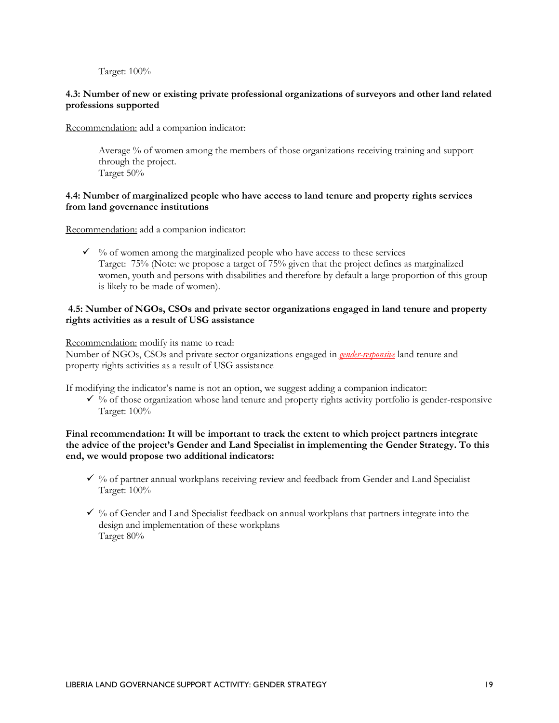Target: 100%

#### **4.3: Number of new or existing private professional organizations of surveyors and other land related professions supported**

Recommendation: add a companion indicator:

Average % of women among the members of those organizations receiving training and support through the project. Target 50%

#### **4.4: Number of marginalized people who have access to land tenure and property rights services from land governance institutions**

Recommendation: add a companion indicator:

 $\checkmark$  % of women among the marginalized people who have access to these services Target: 75% (Note: we propose a target of 75% given that the project defines as marginalized women, youth and persons with disabilities and therefore by default a large proportion of this group is likely to be made of women).

#### **4.5: Number of NGOs, CSOs and private sector organizations engaged in land tenure and property rights activities as a result of USG assistance**

Recommendation: modify its name to read:

Number of NGOs, CSOs and private sector organizations engaged in *gender-responsive* land tenure and property rights activities as a result of USG assistance

If modifying the indicator's name is not an option, we suggest adding a companion indicator:

 $\checkmark$  % of those organization whose land tenure and property rights activity portfolio is gender-responsive Target: 100%

#### **Final recommendation: It will be important to track the extent to which project partners integrate the advice of the project's Gender and Land Specialist in implementing the Gender Strategy. To this end, we would propose two additional indicators:**

- $\checkmark$  % of partner annual workplans receiving review and feedback from Gender and Land Specialist Target: 100%
- $\checkmark$  % of Gender and Land Specialist feedback on annual workplans that partners integrate into the design and implementation of these workplans Target 80%